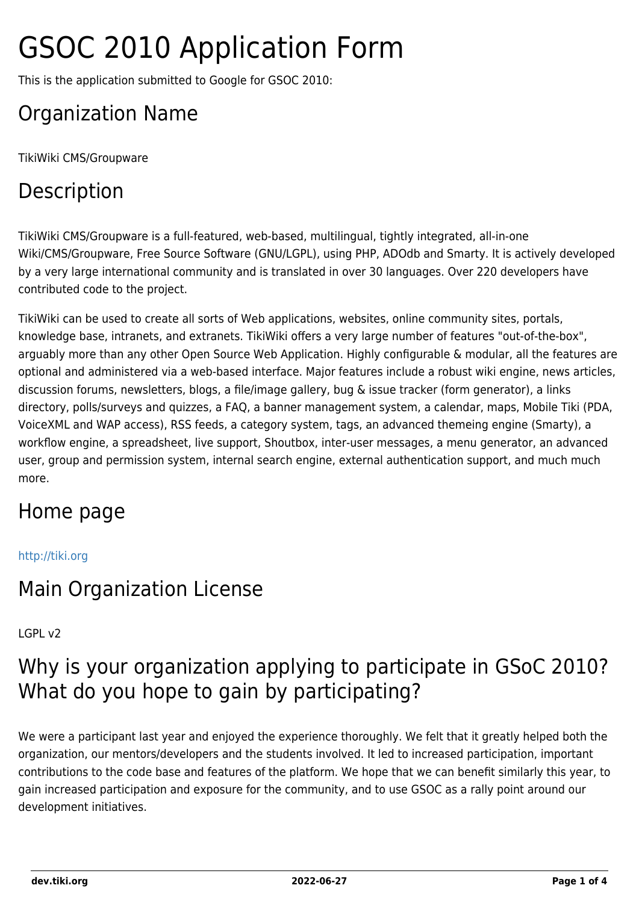# GSOC 2010 Application Form

This is the application submitted to Google for GSOC 2010:

# Organization Name

TikiWiki CMS/Groupware

# Description

TikiWiki CMS/Groupware is a full-featured, web-based, multilingual, tightly integrated, all-in-one Wiki/CMS/Groupware, Free Source Software (GNU/LGPL), using PHP, ADOdb and Smarty. It is actively developed by a very large international community and is translated in over 30 languages. Over 220 developers have contributed code to the project.

TikiWiki can be used to create all sorts of Web applications, websites, online community sites, portals, knowledge base, intranets, and extranets. TikiWiki offers a very large number of features "out-of-the-box", arguably more than any other Open Source Web Application. Highly configurable & modular, all the features are optional and administered via a web-based interface. Major features include a robust wiki engine, news articles, discussion forums, newsletters, blogs, a file/image gallery, bug & issue tracker (form generator), a links directory, polls/surveys and quizzes, a FAQ, a banner management system, a calendar, maps, Mobile Tiki (PDA, VoiceXML and WAP access), RSS feeds, a category system, tags, an advanced themeing engine (Smarty), a workflow engine, a spreadsheet, live support, Shoutbox, inter-user messages, a menu generator, an advanced user, group and permission system, internal search engine, external authentication support, and much much more.

# Home page

#### <http://tiki.org>

#### Main Organization License

#### LGPL v2

# Why is your organization applying to participate in GSoC 2010? What do you hope to gain by participating?

We were a participant last year and enjoyed the experience thoroughly. We felt that it greatly helped both the organization, our mentors/developers and the students involved. It led to increased participation, important contributions to the code base and features of the platform. We hope that we can benefit similarly this year, to gain increased participation and exposure for the community, and to use GSOC as a rally point around our development initiatives.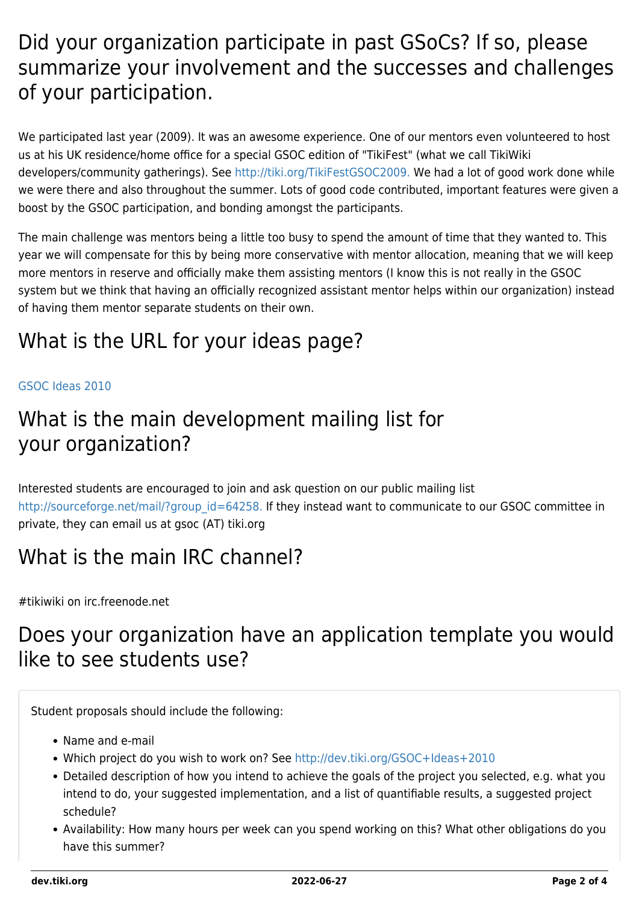# Did your organization participate in past GSoCs? If so, please summarize your involvement and the successes and challenges of your participation.

We participated last year (2009). It was an awesome experience. One of our mentors even volunteered to host us at his UK residence/home office for a special GSOC edition of "TikiFest" (what we call TikiWiki developers/community gatherings). See <http://tiki.org/TikiFestGSOC2009.> We had a lot of good work done while we were there and also throughout the summer. Lots of good code contributed, important features were given a boost by the GSOC participation, and bonding amongst the participants.

The main challenge was mentors being a little too busy to spend the amount of time that they wanted to. This year we will compensate for this by being more conservative with mentor allocation, meaning that we will keep more mentors in reserve and officially make them assisting mentors (I know this is not really in the GSOC system but we think that having an officially recognized assistant mentor helps within our organization) instead of having them mentor separate students on their own.

# What is the URL for your ideas page?

#### [GSOC Ideas 2010](https://dev.tiki.org/GSOC-Ideas-2010)

## What is the main development mailing list for your organization?

Interested students are encouraged to join and ask question on our public mailing list [http://sourceforge.net/mail/?group\\_id=64258.](http://sourceforge.net/mail/?group_id=64258.) If they instead want to communicate to our GSOC committee in private, they can email us at gsoc (AT) tiki.org

# What is the main IRC channel?

#tikiwiki on irc.freenode.net

# Does your organization have an application template you would like to see students use?

Student proposals should include the following:

- Name and e-mail
- Which project do you wish to work on? See <http://dev.tiki.org/GSOC+Ideas+2010>
- Detailed description of how you intend to achieve the goals of the project you selected, e.g. what you intend to do, your suggested implementation, and a list of quantifiable results, a suggested project schedule?
- Availability: How many hours per week can you spend working on this? What other obligations do you have this summer?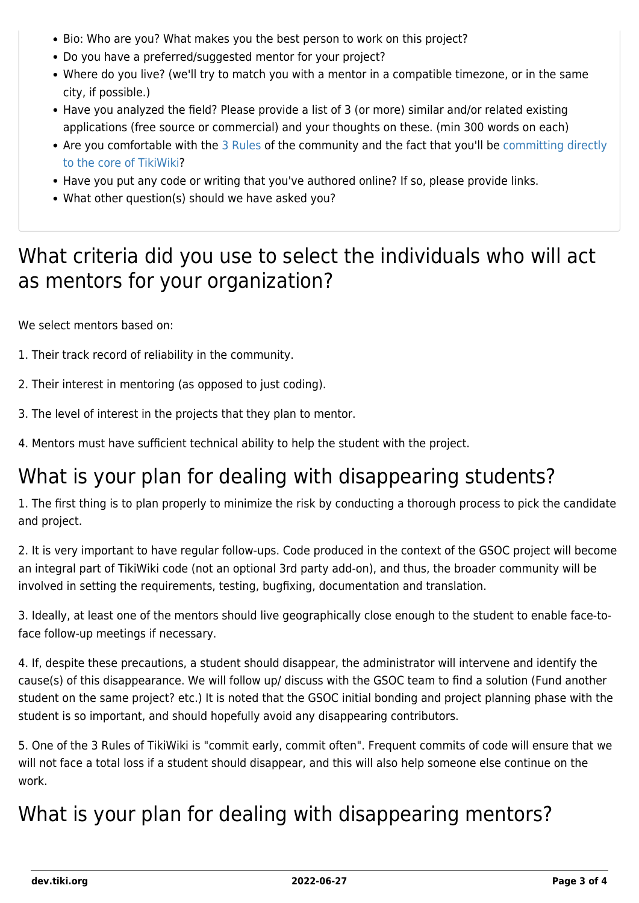- Bio: Who are you? What makes you the best person to work on this project?
- Do you have a preferred/suggested mentor for your project?
- Where do you live? (we'll try to match you with a mentor in a compatible timezone, or in the same city, if possible.)
- Have you analyzed the field? Please provide a list of 3 (or more) similar and/or related existing applications (free source or commercial) and your thoughts on these. (min 300 words on each)
- Are you comfortable with the [3 Rules](https://dev.tiki.org/3-Rules) of the community and the fact that you'll be [committing directly](https://dev.tiki.org/How-to-get-commit-access) [to the core of TikiWiki](https://dev.tiki.org/How-to-get-commit-access)?
- Have you put any code or writing that you've authored online? If so, please provide links.
- What other question(s) should we have asked you?

# What criteria did you use to select the individuals who will act as mentors for your organization?

We select mentors based on:

- 1. Their track record of reliability in the community.
- 2. Their interest in mentoring (as opposed to just coding).
- 3. The level of interest in the projects that they plan to mentor.
- 4. Mentors must have sufficient technical ability to help the student with the project.

# What is your plan for dealing with disappearing students?

1. The first thing is to plan properly to minimize the risk by conducting a thorough process to pick the candidate and project.

2. It is very important to have regular follow-ups. Code produced in the context of the GSOC project will become an integral part of TikiWiki code (not an optional 3rd party add-on), and thus, the broader community will be involved in setting the requirements, testing, bugfixing, documentation and translation.

3. Ideally, at least one of the mentors should live geographically close enough to the student to enable face-toface follow-up meetings if necessary.

4. If, despite these precautions, a student should disappear, the administrator will intervene and identify the cause(s) of this disappearance. We will follow up/ discuss with the GSOC team to find a solution (Fund another student on the same project? etc.) It is noted that the GSOC initial bonding and project planning phase with the student is so important, and should hopefully avoid any disappearing contributors.

5. One of the 3 Rules of TikiWiki is "commit early, commit often". Frequent commits of code will ensure that we will not face a total loss if a student should disappear, and this will also help someone else continue on the work.

# What is your plan for dealing with disappearing mentors?